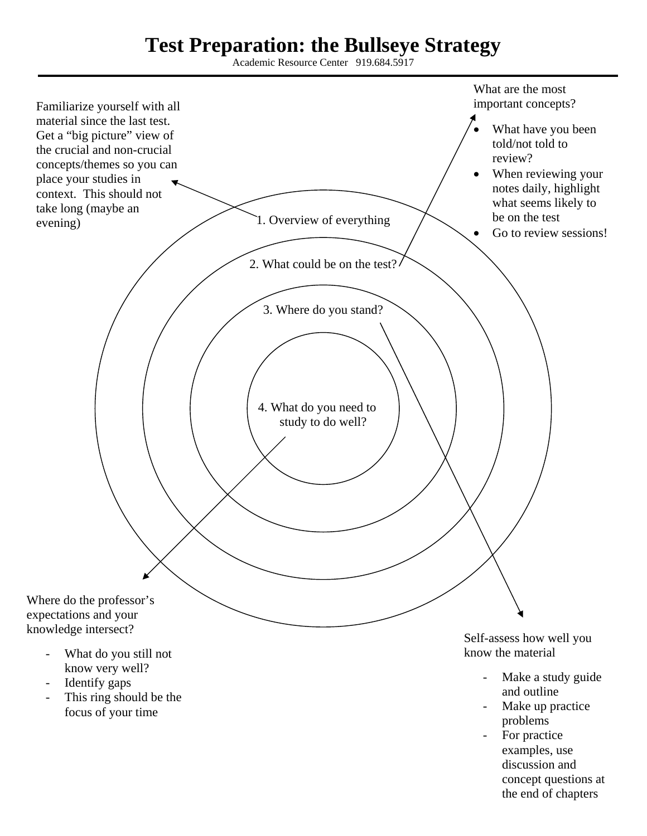## **Test Preparation: the Bullseye Strategy**

Academic Resource Center 919.684.5917



- For practice examples, use discussion and concept questions at the end of chapters